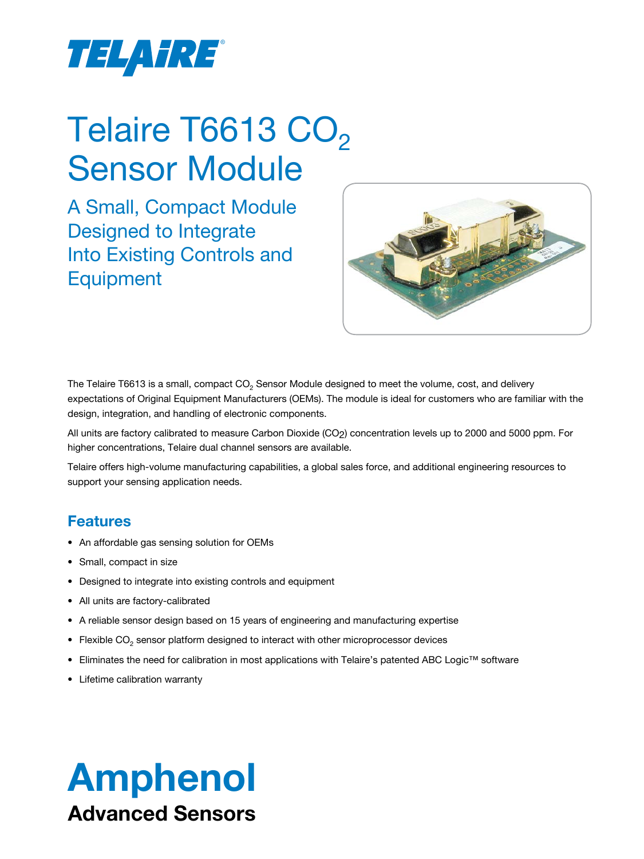

# Telaire T6613 CO<sub>2</sub> Sensor Module

A Small, Compact Module Designed to Integrate Into Existing Controls and **Equipment** 



The Telaire T6613 is a small, compact  $CO<sub>2</sub>$  Sensor Module designed to meet the volume, cost, and delivery expectations of Original Equipment Manufacturers (OEMs). The module is ideal for customers who are familiar with the design, integration, and handling of electronic components.

All units are factory calibrated to measure Carbon Dioxide (CO<sub>2</sub>) concentration levels up to 2000 and 5000 ppm. For higher concentrations, Telaire dual channel sensors are available.

Telaire offers high-volume manufacturing capabilities, a global sales force, and additional engineering resources to support your sensing application needs.

## **Features**

- An affordable gas sensing solution for OEMs
- Small, compact in size
- Designed to integrate into existing controls and equipment
- All units are factory-calibrated
- A reliable sensor design based on 15 years of engineering and manufacturing expertise
- Flexible  $CO<sub>2</sub>$  sensor platform designed to interact with other microprocessor devices
- Eliminates the need for calibration in most applications with Telaire's patented ABC Logic™ software
- Lifetime calibration warranty

# Amphenol Advanced Sensors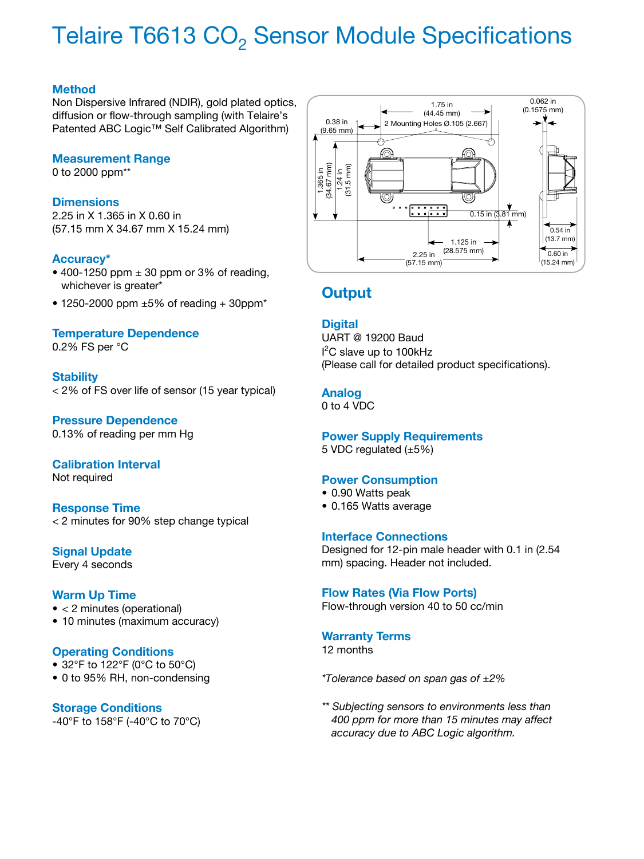## Telaire T6613 CO<sub>2</sub> Sensor Module Specifications

#### **Method**

Non Dispersive Infrared (NDIR), gold plated optics, diffusion or flow-through sampling (with Telaire's Patented ABC Logic™ Self Calibrated Algorithm)

#### **Measurement Range**

0 to 2000 ppm\*\*

#### **Dimensions**

2.25 in X 1.365 in X 0.60 in (57.15 mm X 34.67 mm X 15.24 mm)

#### **Accuracy\***

- 400-1250 ppm  $\pm$  30 ppm or 3% of reading, whichever is greater\*
- $\bullet$  1250-2000 ppm  $\pm 5\%$  of reading + 30ppm<sup>\*</sup>

#### **Temperature Dependence**

0.2% FS per °C

#### **Stability**

< 2% of FS over life of sensor (15 year typical)

#### **Pressure Dependence** 0.13% of reading per mm Hg

## **Calibration Interval**

Not required

#### **Response Time** < 2 minutes for 90% step change typical

### **Signal Update**

Every 4 seconds

#### **Warm Up Time**

- < 2 minutes (operational)
- 10 minutes (maximum accuracy)

#### **Operating Conditions**

- 32°F to 122°F (0°C to 50°C)
- 0 to 95% RH, non-condensing

#### **Storage Conditions** -40°F to 158°F (-40°C to 70°C)



## **Output**

#### **Digital**

UART @ 19200 Baud I 2 C slave up to 100kHz (Please call for detailed product specifications).

#### **Analog**

0 to 4 VDC

#### **Power Supply Requirements**

5 VDC regulated (±5%)

#### **Power Consumption**

- 0.90 Watts peak
- 0.165 Watts average

#### **Interface Connections**

Designed for 12-pin male header with 0.1 in (2.54 mm) spacing. Header not included.

#### **Flow Rates (Via Flow Ports)**

Flow-through version 40 to 50 cc/min

## **Warranty Terms**

12 months

*\*Tolerance based on span gas of ±2%*

*\*\* Subjecting sensors to environments less than 400 ppm for more than 15 minutes may affect accuracy due to ABC Logic algorithm.*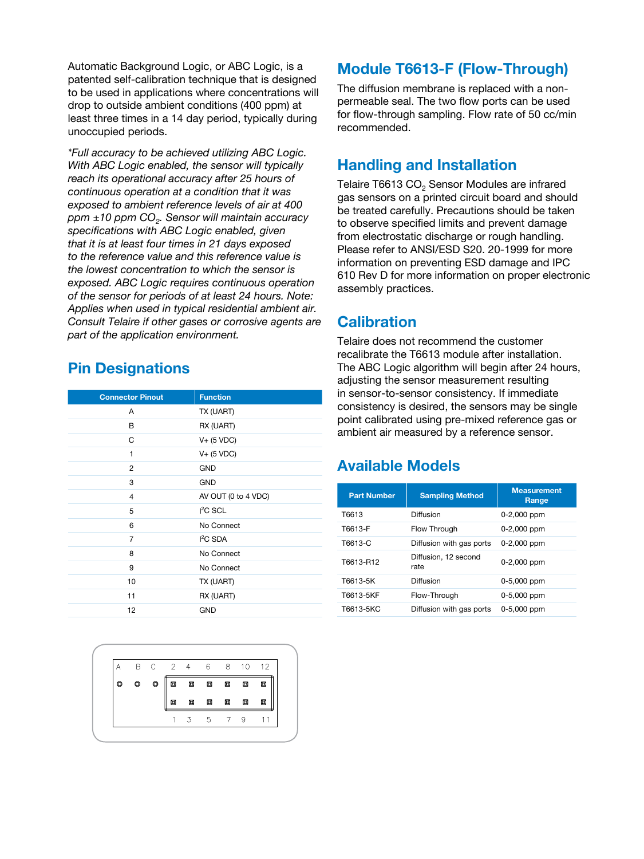Automatic Background Logic, or ABC Logic, is a patented self-calibration technique that is designed to be used in applications where concentrations will drop to outside ambient conditions (400 ppm) at least three times in a 14 day period, typically during unoccupied periods.

*\*Full accuracy to be achieved utilizing ABC Logic. With ABC Logic enabled, the sensor will typically reach its operational accuracy after 25 hours of continuous operation at a condition that it was exposed to ambient reference levels of air at 400 ppm ±10 ppm CO2. Sensor will maintain accuracy specifications with ABC Logic enabled, given that it is at least four times in 21 days exposed to the reference value and this reference value is the lowest concentration to which the sensor is exposed. ABC Logic requires continuous operation of the sensor for periods of at least 24 hours. Note: Applies when used in typical residential ambient air. Consult Telaire if other gases or corrosive agents are part of the application environment.*

## **Pin Designations**

| <b>Connector Pinout</b> | <b>Function</b>     |
|-------------------------|---------------------|
| A                       | TX (UART)           |
| в                       | RX (UART)           |
| C                       | $V+$ (5 VDC)        |
| 1                       | $V+$ (5 VDC)        |
| 2                       | <b>GND</b>          |
| 3                       | <b>GND</b>          |
| 4                       | AV OUT (0 to 4 VDC) |
| 5                       | $I2C$ SCL           |
| 6                       | No Connect          |
| 7                       | $I2C$ SDA           |
| 8                       | No Connect          |
| 9                       | No Connect          |
| 10                      | TX (UART)           |
| 11                      | RX (UART)           |
| 12                      | <b>GND</b>          |



## **Module T6613-F (Flow-Through)**

The diffusion membrane is replaced with a nonpermeable seal. The two flow ports can be used for flow-through sampling. Flow rate of 50 cc/min recommended.

## **Handling and Installation**

Telaire T6613 CO<sub>2</sub> Sensor Modules are infrared gas sensors on a printed circuit board and should be treated carefully. Precautions should be taken to observe specified limits and prevent damage from electrostatic discharge or rough handling. Please refer to ANSI/ESD S20. 20-1999 for more information on preventing ESD damage and IPC 610 Rev D for more information on proper electronic assembly practices.

## **Calibration**

Telaire does not recommend the customer recalibrate the T6613 module after installation. The ABC Logic algorithm will begin after 24 hours, adjusting the sensor measurement resulting in sensor-to-sensor consistency. If immediate consistency is desired, the sensors may be single point calibrated using pre-mixed reference gas or ambient air measured by a reference sensor.

## **Available Models**

| <b>Part Number</b> | <b>Sampling Method</b>       | <b>Measurement</b><br>Range |
|--------------------|------------------------------|-----------------------------|
| T6613              | Diffusion                    | 0-2,000 ppm                 |
| T6613-F            | Flow Through                 | 0-2,000 ppm                 |
| T6613-C            | Diffusion with gas ports     | 0-2,000 ppm                 |
| T6613-R12          | Diffusion, 12 second<br>rate | 0-2,000 ppm                 |
| T6613-5K           | Diffusion                    | 0-5,000 ppm                 |
| T6613-5KF          | Flow-Throuah                 | 0-5,000 ppm                 |
| T6613-5KC          | Diffusion with gas ports     | 0-5,000 ppm                 |